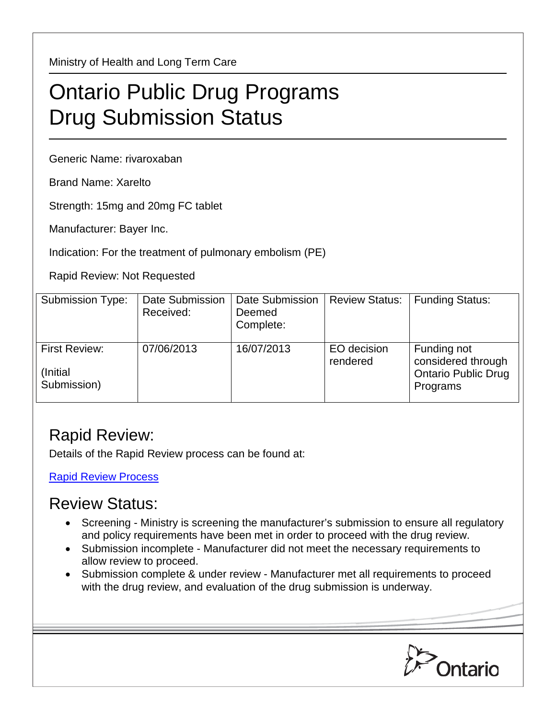Ministry of Health and Long Term Care

## Ontario Public Drug Programs Drug Submission Status

Generic Name: rivaroxaban

Brand Name: Xarelto

Strength: 15mg and 20mg FC tablet

Manufacturer: Bayer Inc.

Indication: For the treatment of pulmonary embolism (PE)

Rapid Review: Not Requested

| <b>Submission Type:</b>                          | <b>Date Submission</b><br>Received: | Date Submission<br>Deemed<br>Complete: | <b>Review Status:</b>   | <b>Funding Status:</b>                                                      |
|--------------------------------------------------|-------------------------------------|----------------------------------------|-------------------------|-----------------------------------------------------------------------------|
| <b>First Review:</b><br>(Initial)<br>Submission) | 07/06/2013                          | 16/07/2013                             | EO decision<br>rendered | Funding not<br>considered through<br><b>Ontario Public Drug</b><br>Programs |

## Rapid Review:

Details of the Rapid Review process can be found at:

[Rapid Review Process](http://www.health.gov.on.ca/en/pro/programs/drugs/drug_submissions/rapid_review_process.aspx)

## Review Status:

- Screening Ministry is screening the manufacturer's submission to ensure all regulatory and policy requirements have been met in order to proceed with the drug review.
- Submission incomplete Manufacturer did not meet the necessary requirements to allow review to proceed.
- Submission complete & under review Manufacturer met all requirements to proceed with the drug review, and evaluation of the drug submission is underway.